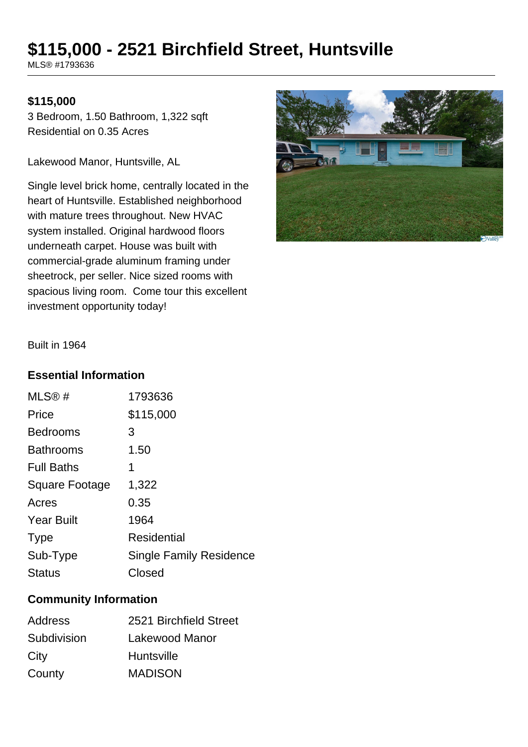# **\$115,000 - 2521 Birchfield Street, Huntsville**

MLS® #1793636

## **\$115,000**

3 Bedroom, 1.50 Bathroom, 1,322 sqft Residential on 0.35 Acres

Lakewood Manor, Huntsville, AL

Single level brick home, centrally located in the heart of Huntsville. Established neighborhood with mature trees throughout. New HVAC system installed. Original hardwood floors underneath carpet. House was built with commercial-grade aluminum framing under sheetrock, per seller. Nice sized rooms with spacious living room. Come tour this excellent investment opportunity today!



Built in 1964

#### **Essential Information**

| 1793636                        |
|--------------------------------|
| \$115,000                      |
| 3                              |
| 1.50                           |
| 1                              |
| 1,322                          |
| 0.35                           |
| 1964                           |
| <b>Residential</b>             |
| <b>Single Family Residence</b> |
| Closed                         |
|                                |

# **Community Information**

| Address     | 2521 Birchfield Street |
|-------------|------------------------|
| Subdivision | Lakewood Manor         |
| City        | <b>Huntsville</b>      |
| County      | <b>MADISON</b>         |